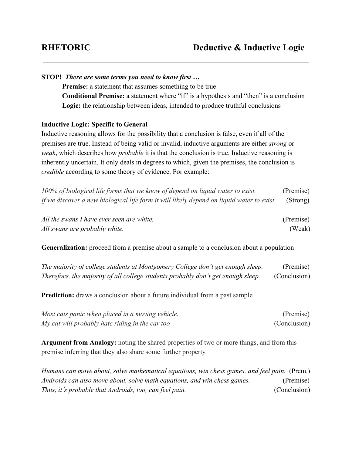| STOP! There are some terms you need to know first                                                           |           |  |
|-------------------------------------------------------------------------------------------------------------|-----------|--|
| <b>Premise:</b> a statement that assumes something to be true                                               |           |  |
| <b>Conditional Premise:</b> a statement where "if" is a hypothesis and "then" is a conclusion               |           |  |
| Logic: the relationship between ideas, intended to produce truthful conclusions                             |           |  |
| <b>Inductive Logic: Specific to General</b>                                                                 |           |  |
| Inductive reasoning allows for the possibility that a conclusion is false, even if all of the               |           |  |
| premises are true. Instead of being valid or invalid, inductive arguments are either <i>strong</i> or       |           |  |
| <i>weak</i> , which describes how <i>probable</i> it is that the conclusion is true. Inductive reasoning is |           |  |
| inherently uncertain. It only deals in degrees to which, given the premises, the conclusion is              |           |  |
| <i>credible</i> according to some theory of evidence. For example:                                          |           |  |
| 100% of biological life forms that we know of depend on liquid water to exist.                              | (Premise) |  |
| If we discover a new biological life form it will likely depend on liquid water to exist.                   | (Strong)  |  |
| All the swans I have ever seen are white.                                                                   | (Premise) |  |
| All swans are probably white.                                                                               | (Weak)    |  |

**Generalization:** proceed from a premise about a sample to a conclusion about a population

| The majority of college students at Montgomery College don't get enough sleep.   | (Premise)    |
|----------------------------------------------------------------------------------|--------------|
| Therefore, the majority of all college students probably don't get enough sleep. | (Conclusion) |

**Prediction:** draws a conclusion about a future individual from a past sample

| Most cats panic when placed in a moving vehicle. | (Premise)    |
|--------------------------------------------------|--------------|
| My cat will probably hate riding in the car too  | (Conclusion) |

**Argument from Analogy:** noting the shared properties of two or more things, and from this premise inferring that they also share some further property

*Humans can move about, solve mathematical equations, win chess games, and feel pain.* (Prem.) *Androids can also move about, solve math equations, and win chess games.* (Premise) *Thus, it*'*s probable that Androids, too, can feel pain.* (Conclusion)